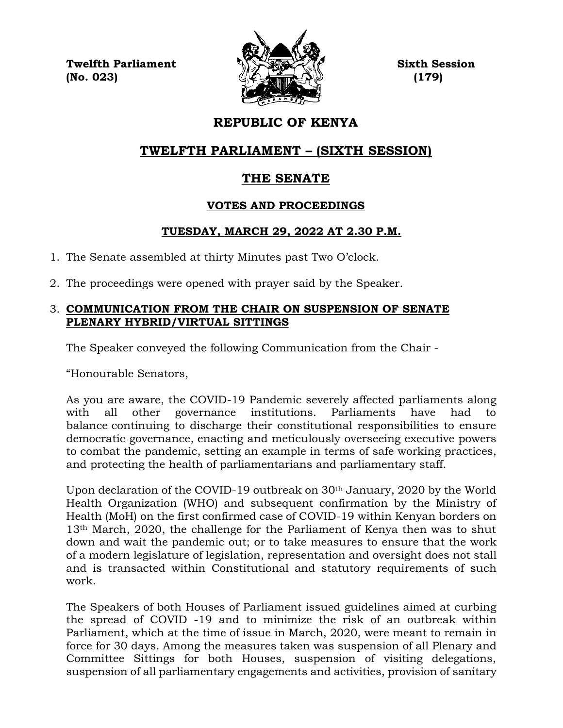**Twelfth Parliament Sixth Session (No. 023) (179)**



# **REPUBLIC OF KENYA**

# **TWELFTH PARLIAMENT – (SIXTH SESSION)**

# **THE SENATE**

# **VOTES AND PROCEEDINGS**

# **TUESDAY, MARCH 29, 2022 AT 2.30 P.M.**

- 1. The Senate assembled at thirty Minutes past Two O'clock.
- 2. The proceedings were opened with prayer said by the Speaker.

## 3. **COMMUNICATION FROM THE CHAIR ON SUSPENSION OF SENATE PLENARY HYBRID/VIRTUAL SITTINGS**

The Speaker conveyed the following Communication from the Chair -

"Honourable Senators,

As you are aware, the COVID-19 Pandemic severely affected parliaments along with all other governance institutions. Parliaments have had to balance continuing to discharge their constitutional responsibilities to ensure democratic governance, enacting and meticulously overseeing executive powers to combat the pandemic, setting an example in terms of safe working practices, and protecting the health of parliamentarians and parliamentary staff.

Upon declaration of the COVID-19 outbreak on 30th January, 2020 by the World Health Organization (WHO) and subsequent confirmation by the Ministry of Health (MoH) on the first confirmed case of COVID-19 within Kenyan borders on 13th March, 2020, the challenge for the Parliament of Kenya then was to shut down and wait the pandemic out; or to take measures to ensure that the work of a modern legislature of legislation, representation and oversight does not stall and is transacted within Constitutional and statutory requirements of such work.

The Speakers of both Houses of Parliament issued guidelines aimed at curbing the spread of COVID -19 and to minimize the risk of an outbreak within Parliament, which at the time of issue in March, 2020, were meant to remain in force for 30 days. Among the measures taken was suspension of all Plenary and Committee Sittings for both Houses, suspension of visiting delegations, suspension of all parliamentary engagements and activities, provision of sanitary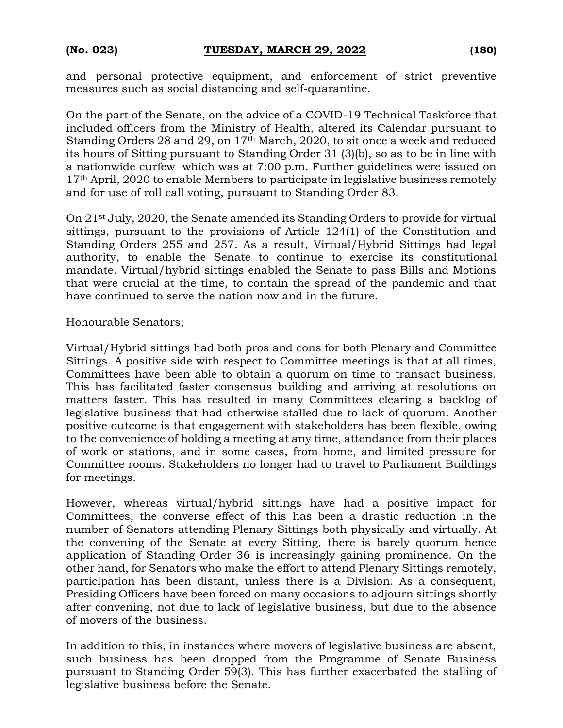and personal protective equipment, and enforcement of strict preventive measures such as social distancing and self-quarantine.

On the part of the Senate, on the advice of a COVID-19 Technical Taskforce that included officers from the Ministry of Health, altered its Calendar pursuant to Standing Orders 28 and 29, on 17th March, 2020, to sit once a week and reduced its hours of Sitting pursuant to Standing Order 31 (3)(b), so as to be in line with a nationwide curfew which was at 7:00 p.m. Further guidelines were issued on 17<sup>th</sup> April, 2020 to enable Members to participate in legislative business remotely and for use of roll call voting, pursuant to Standing Order 83.

On 21st July, 2020, the Senate amended its Standing Orders to provide for virtual sittings, pursuant to the provisions of Article 124(1) of the Constitution and Standing Orders 255 and 257. As a result, Virtual/Hybrid Sittings had legal authority, to enable the Senate to continue to exercise its constitutional mandate. Virtual/hybrid sittings enabled the Senate to pass Bills and Motions that were crucial at the time, to contain the spread of the pandemic and that have continued to serve the nation now and in the future.

Honourable Senators;

Virtual/Hybrid sittings had both pros and cons for both Plenary and Committee Sittings. A positive side with respect to Committee meetings is that at all times, Committees have been able to obtain a quorum on time to transact business. This has facilitated faster consensus building and arriving at resolutions on matters faster. This has resulted in many Committees clearing a backlog of legislative business that had otherwise stalled due to lack of quorum. Another positive outcome is that engagement with stakeholders has been flexible, owing to the convenience of holding a meeting at any time, attendance from their places of work or stations, and in some cases, from home, and limited pressure for Committee rooms. Stakeholders no longer had to travel to Parliament Buildings for meetings.

However, whereas virtual/hybrid sittings have had a positive impact for Committees, the converse effect of this has been a drastic reduction in the number of Senators attending Plenary Sittings both physically and virtually. At the convening of the Senate at every Sitting, there is barely quorum hence application of Standing Order 36 is increasingly gaining prominence. On the other hand, for Senators who make the effort to attend Plenary Sittings remotely, participation has been distant, unless there is a Division. As a consequent, Presiding Officers have been forced on many occasions to adjourn sittings shortly after convening, not due to lack of legislative business, but due to the absence of movers of the business.

In addition to this, in instances where movers of legislative business are absent, such business has been dropped from the Programme of Senate Business pursuant to Standing Order 59(3). This has further exacerbated the stalling of legislative business before the Senate.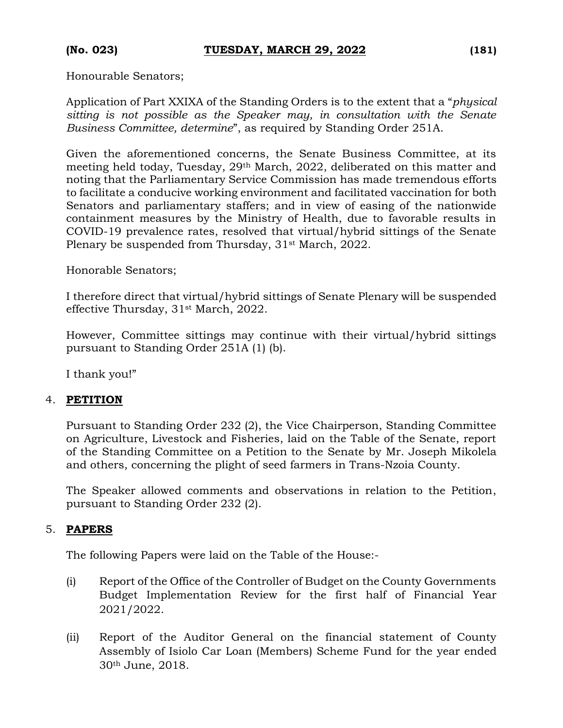Honourable Senators;

Application of Part XXIXA of the Standing Orders is to the extent that a "*physical sitting is not possible as the Speaker may, in consultation with the Senate Business Committee, determine*", as required by Standing Order 251A.

Given the aforementioned concerns, the Senate Business Committee, at its meeting held today, Tuesday, 29th March, 2022, deliberated on this matter and noting that the Parliamentary Service Commission has made tremendous efforts to facilitate a conducive working environment and facilitated vaccination for both Senators and parliamentary staffers; and in view of easing of the nationwide containment measures by the Ministry of Health, due to favorable results in COVID-19 prevalence rates, resolved that virtual/hybrid sittings of the Senate Plenary be suspended from Thursday, 31<sup>st</sup> March, 2022.

Honorable Senators;

I therefore direct that virtual/hybrid sittings of Senate Plenary will be suspended effective Thursday, 31st March, 2022.

However, Committee sittings may continue with their virtual/hybrid sittings pursuant to Standing Order 251A (1) (b).

I thank you!"

## 4. **PETITION**

Pursuant to Standing Order 232 (2), the Vice Chairperson, Standing Committee on Agriculture, Livestock and Fisheries, laid on the Table of the Senate, report of the Standing Committee on a Petition to the Senate by Mr. Joseph Mikolela and others, concerning the plight of seed farmers in Trans-Nzoia County.

The Speaker allowed comments and observations in relation to the Petition, pursuant to Standing Order 232 (2).

### 5. **PAPERS**

The following Papers were laid on the Table of the House:-

- (i) Report of the Office of the Controller of Budget on the County Governments Budget Implementation Review for the first half of Financial Year 2021/2022.
- (ii) Report of the Auditor General on the financial statement of County Assembly of Isiolo Car Loan (Members) Scheme Fund for the year ended 30th June, 2018.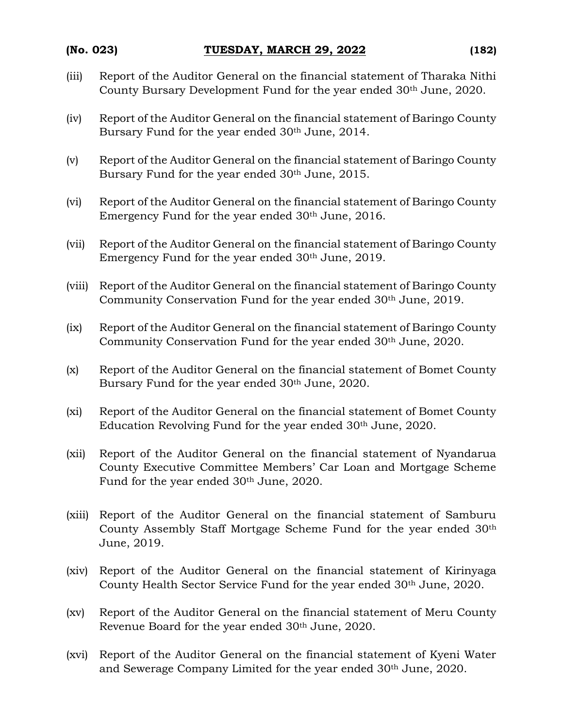- (iii) Report of the Auditor General on the financial statement of Tharaka Nithi County Bursary Development Fund for the year ended 30th June, 2020.
- (iv) Report of the Auditor General on the financial statement of Baringo County Bursary Fund for the year ended 30th June, 2014.
- (v) Report of the Auditor General on the financial statement of Baringo County Bursary Fund for the year ended 30th June, 2015.
- (vi) Report of the Auditor General on the financial statement of Baringo County Emergency Fund for the year ended 30th June, 2016.
- (vii) Report of the Auditor General on the financial statement of Baringo County Emergency Fund for the year ended 30<sup>th</sup> June, 2019.
- (viii) Report of the Auditor General on the financial statement of Baringo County Community Conservation Fund for the year ended 30<sup>th</sup> June, 2019.
- (ix) Report of the Auditor General on the financial statement of Baringo County Community Conservation Fund for the year ended 30<sup>th</sup> June, 2020.
- (x) Report of the Auditor General on the financial statement of Bomet County Bursary Fund for the year ended 30<sup>th</sup> June, 2020.
- (xi) Report of the Auditor General on the financial statement of Bomet County Education Revolving Fund for the year ended 30th June, 2020.
- (xii) Report of the Auditor General on the financial statement of Nyandarua County Executive Committee Members' Car Loan and Mortgage Scheme Fund for the year ended 30<sup>th</sup> June, 2020.
- (xiii) Report of the Auditor General on the financial statement of Samburu County Assembly Staff Mortgage Scheme Fund for the year ended 30th June, 2019.
- (xiv) Report of the Auditor General on the financial statement of Kirinyaga County Health Sector Service Fund for the year ended 30<sup>th</sup> June, 2020.
- (xv) Report of the Auditor General on the financial statement of Meru County Revenue Board for the year ended 30th June, 2020.
- (xvi) Report of the Auditor General on the financial statement of Kyeni Water and Sewerage Company Limited for the year ended 30th June, 2020.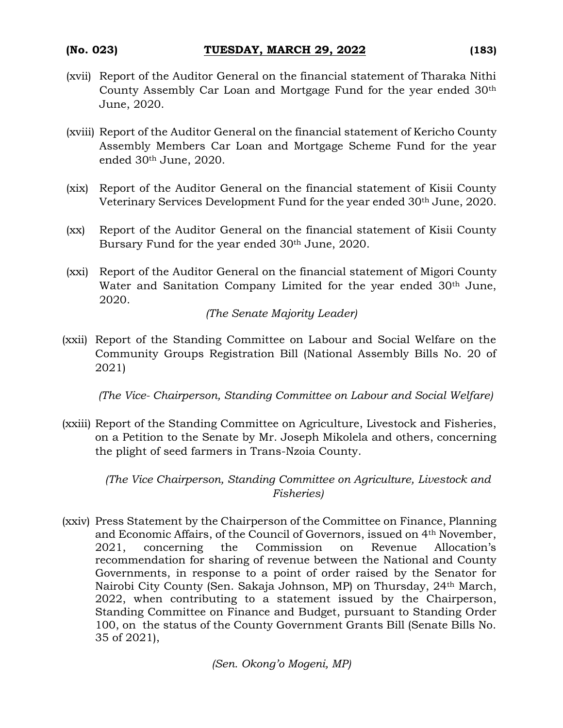- (xvii) Report of the Auditor General on the financial statement of Tharaka Nithi County Assembly Car Loan and Mortgage Fund for the year ended 30th June, 2020.
- (xviii) Report of the Auditor General on the financial statement of Kericho County Assembly Members Car Loan and Mortgage Scheme Fund for the year ended 30th June, 2020.
- (xix) Report of the Auditor General on the financial statement of Kisii County Veterinary Services Development Fund for the year ended 30th June, 2020.
- (xx) Report of the Auditor General on the financial statement of Kisii County Bursary Fund for the year ended 30th June, 2020.
- (xxi) Report of the Auditor General on the financial statement of Migori County Water and Sanitation Company Limited for the year ended 30<sup>th</sup> June, 2020.

*(The Senate Majority Leader)*

(xxii) Report of the Standing Committee on Labour and Social Welfare on the Community Groups Registration Bill (National Assembly Bills No. 20 of 2021)

*(The Vice- Chairperson, Standing Committee on Labour and Social Welfare)*

(xxiii) Report of the Standing Committee on Agriculture, Livestock and Fisheries, on a Petition to the Senate by Mr. Joseph Mikolela and others, concerning the plight of seed farmers in Trans-Nzoia County.

*(The Vice Chairperson, Standing Committee on Agriculture, Livestock and Fisheries)*

(xxiv) Press Statement by the Chairperson of the Committee on Finance, Planning and Economic Affairs, of the Council of Governors, issued on 4th November, 2021, concerning the Commission on Revenue Allocation's recommendation for sharing of revenue between the National and County Governments, in response to a point of order raised by the Senator for Nairobi City County (Sen. Sakaja Johnson, MP) on Thursday, 24th March, 2022, when contributing to a statement issued by the Chairperson, Standing Committee on Finance and Budget, pursuant to Standing Order 100, on the status of the County Government Grants Bill (Senate Bills No. 35 of 2021),

*(Sen. Okong'o Mogeni, MP)*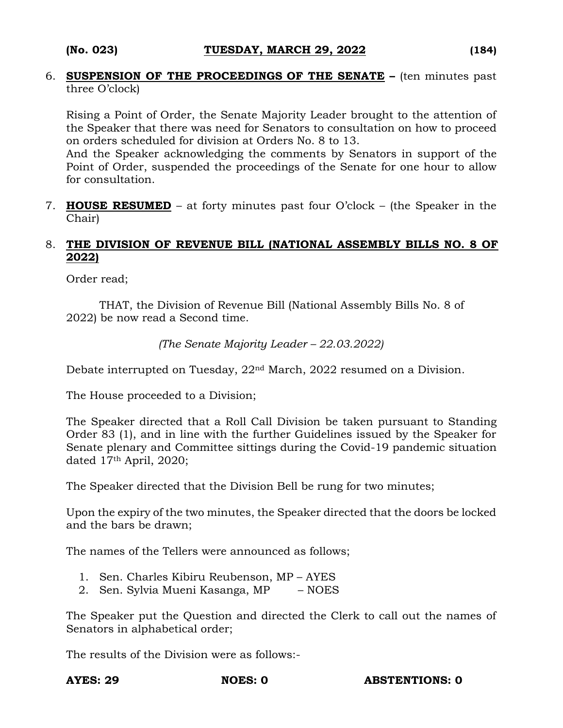6. **SUSPENSION OF THE PROCEEDINGS OF THE SENATE –** (ten minutes past three O'clock)

Rising a Point of Order, the Senate Majority Leader brought to the attention of the Speaker that there was need for Senators to consultation on how to proceed on orders scheduled for division at Orders No. 8 to 13.

And the Speaker acknowledging the comments by Senators in support of the Point of Order, suspended the proceedings of the Senate for one hour to allow for consultation.

7. **HOUSE RESUMED** – at forty minutes past four O'clock – (the Speaker in the Chair)

## 8. **THE DIVISION OF REVENUE BILL (NATIONAL ASSEMBLY BILLS NO. 8 OF 2022)**

Order read;

THAT, the Division of Revenue Bill (National Assembly Bills No. 8 of 2022) be now read a Second time.

*(The Senate Majority Leader – 22.03.2022)*

Debate interrupted on Tuesday, 22nd March, 2022 resumed on a Division.

The House proceeded to a Division;

The Speaker directed that a Roll Call Division be taken pursuant to Standing Order 83 (1), and in line with the further Guidelines issued by the Speaker for Senate plenary and Committee sittings during the Covid-19 pandemic situation dated 17th April, 2020;

The Speaker directed that the Division Bell be rung for two minutes;

Upon the expiry of the two minutes, the Speaker directed that the doors be locked and the bars be drawn;

The names of the Tellers were announced as follows;

- 1. Sen. Charles Kibiru Reubenson, MP AYES
- 2. Sen. Sylvia Mueni Kasanga, MP NOES

The Speaker put the Question and directed the Clerk to call out the names of Senators in alphabetical order;

The results of the Division were as follows:-

**AYES: 29 NOES: 0 ABSTENTIONS: 0**